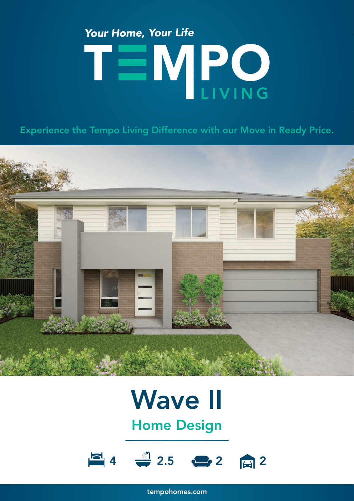# Your Home, Your Life TEMPO

Experience the Tempo Living Difference with our Move in Ready Price.



## Wave II

Home Design



tempohomes.com